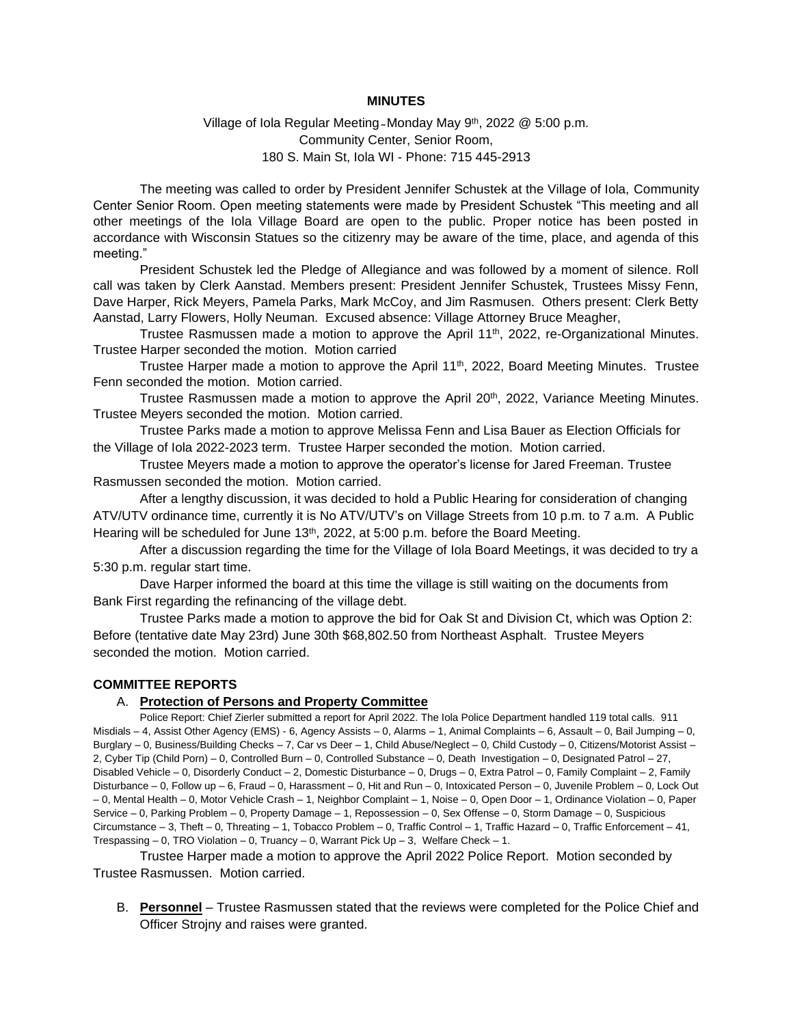#### **MINUTES**

#### Village of Iola Regular Meeting ~ Monday May 9<sup>th</sup>, 2022 @ 5:00 p.m. Community Center, Senior Room, 180 S. Main St, Iola WI - Phone: 715 445-2913

The meeting was called to order by President Jennifer Schustek at the Village of Iola, Community Center Senior Room. Open meeting statements were made by President Schustek "This meeting and all other meetings of the Iola Village Board are open to the public. Proper notice has been posted in accordance with Wisconsin Statues so the citizenry may be aware of the time, place, and agenda of this meeting."

President Schustek led the Pledge of Allegiance and was followed by a moment of silence. Roll call was taken by Clerk Aanstad. Members present: President Jennifer Schustek, Trustees Missy Fenn, Dave Harper, Rick Meyers, Pamela Parks, Mark McCoy, and Jim Rasmusen. Others present: Clerk Betty Aanstad, Larry Flowers, Holly Neuman. Excused absence: Village Attorney Bruce Meagher,

Trustee Rasmussen made a motion to approve the April 11<sup>th</sup>, 2022, re-Organizational Minutes. Trustee Harper seconded the motion. Motion carried

Trustee Harper made a motion to approve the April 11<sup>th</sup>, 2022, Board Meeting Minutes. Trustee Fenn seconded the motion. Motion carried.

Trustee Rasmussen made a motion to approve the April 20<sup>th</sup>, 2022, Variance Meeting Minutes. Trustee Meyers seconded the motion. Motion carried.

Trustee Parks made a motion to approve Melissa Fenn and Lisa Bauer as Election Officials for the Village of Iola 2022-2023 term. Trustee Harper seconded the motion. Motion carried.

Trustee Meyers made a motion to approve the operator's license for Jared Freeman. Trustee Rasmussen seconded the motion. Motion carried.

After a lengthy discussion, it was decided to hold a Public Hearing for consideration of changing ATV/UTV ordinance time, currently it is No ATV/UTV's on Village Streets from 10 p.m. to 7 a.m. A Public Hearing will be scheduled for June 13<sup>th</sup>, 2022, at 5:00 p.m. before the Board Meeting.

After a discussion regarding the time for the Village of Iola Board Meetings, it was decided to try a 5:30 p.m. regular start time.

Dave Harper informed the board at this time the village is still waiting on the documents from Bank First regarding the refinancing of the village debt.

Trustee Parks made a motion to approve the bid for Oak St and Division Ct, which was Option 2: Before (tentative date May 23rd) June 30th \$68,802.50 from Northeast Asphalt. Trustee Meyers seconded the motion. Motion carried.

#### **COMMITTEE REPORTS**

#### A. **Protection of Persons and Property Committee**

Police Report: Chief Zierler submitted a report for April 2022. The Iola Police Department handled 119 total calls. 911 Misdials – 4, Assist Other Agency (EMS) - 6, Agency Assists – 0, Alarms – 1, Animal Complaints – 6, Assault – 0, Bail Jumping – 0, Burglary – 0, Business/Building Checks – 7, Car vs Deer – 1, Child Abuse/Neglect – 0, Child Custody – 0, Citizens/Motorist Assist – 2, Cyber Tip (Child Porn) – 0, Controlled Burn – 0, Controlled Substance – 0, Death Investigation – 0, Designated Patrol – 27, Disabled Vehicle – 0, Disorderly Conduct – 2, Domestic Disturbance – 0, Drugs – 0, Extra Patrol – 0, Family Complaint – 2, Family Disturbance – 0, Follow up – 6, Fraud – 0, Harassment – 0, Hit and Run – 0, Intoxicated Person – 0, Juvenile Problem – 0, Lock Out – 0, Mental Health – 0, Motor Vehicle Crash – 1, Neighbor Complaint – 1, Noise – 0, Open Door – 1, Ordinance Violation – 0, Paper Service – 0, Parking Problem – 0, Property Damage – 1, Repossession – 0, Sex Offense – 0, Storm Damage – 0, Suspicious Circumstance – 3, Theft – 0, Threating – 1, Tobacco Problem – 0, Traffic Control – 1, Traffic Hazard – 0, Traffic Enforcement – 41, Trespassing – 0, TRO Violation – 0, Truancy – 0, Warrant Pick Up – 3, Welfare Check – 1.

Trustee Harper made a motion to approve the April 2022 Police Report. Motion seconded by Trustee Rasmussen. Motion carried.

B. **Personnel** – Trustee Rasmussen stated that the reviews were completed for the Police Chief and Officer Strojny and raises were granted.